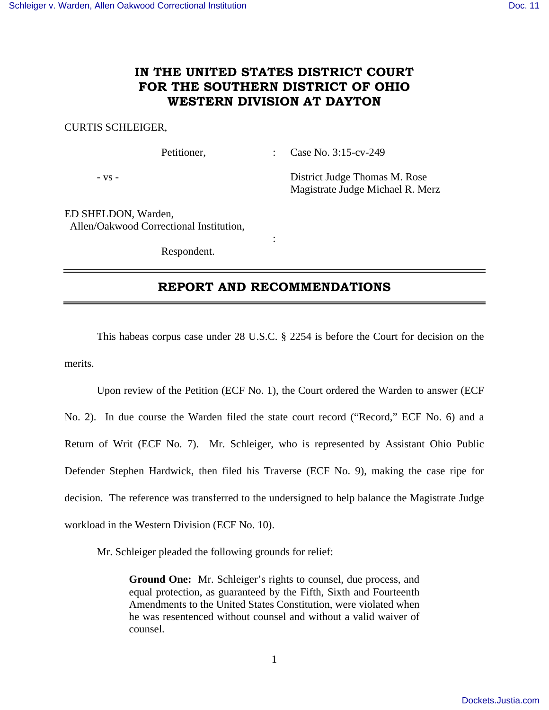## **IN THE UNITED STATES DISTRICT COURT FOR THE SOUTHERN DISTRICT OF OHIO WESTERN DIVISION AT DAYTON**

### CURTIS SCHLEIGER,

Petitioner, : Case No. 3:15-cv-249

- vs - District Judge Thomas M. Rose Magistrate Judge Michael R. Merz

ED SHELDON, Warden, Allen/Oakwood Correctional Institution,

Respondent.

**Service State State State** 

## **REPORT AND RECOMMENDATIONS**

 This habeas corpus case under 28 U.S.C. § 2254 is before the Court for decision on the merits.

 Upon review of the Petition (ECF No. 1), the Court ordered the Warden to answer (ECF No. 2). In due course the Warden filed the state court record ("Record," ECF No. 6) and a Return of Writ (ECF No. 7). Mr. Schleiger, who is represented by Assistant Ohio Public Defender Stephen Hardwick, then filed his Traverse (ECF No. 9), making the case ripe for decision. The reference was transferred to the undersigned to help balance the Magistrate Judge workload in the Western Division (ECF No. 10).

Mr. Schleiger pleaded the following grounds for relief:

**Ground One:** Mr. Schleiger's rights to counsel, due process, and equal protection, as guaranteed by the Fifth, Sixth and Fourteenth Amendments to the United States Constitution, were violated when he was resentenced without counsel and without a valid waiver of counsel.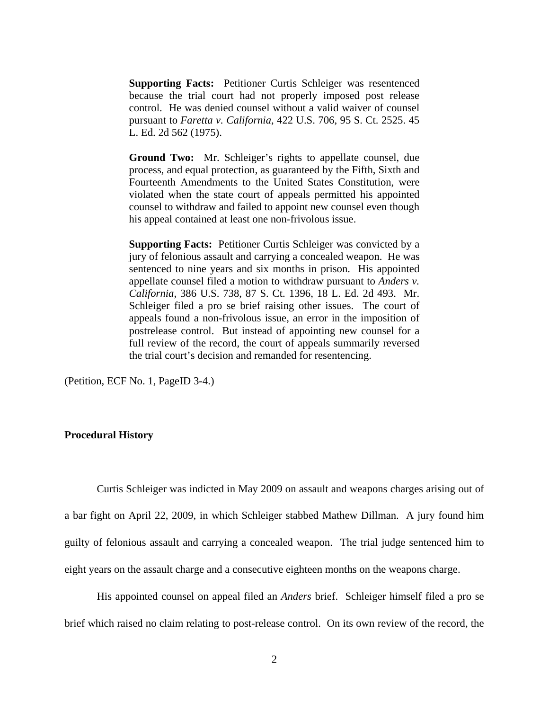**Supporting Facts:** Petitioner Curtis Schleiger was resentenced because the trial court had not properly imposed post release control. He was denied counsel without a valid waiver of counsel pursuant to *Faretta v. California*, 422 U.S. 706, 95 S. Ct. 2525. 45 L. Ed. 2d 562 (1975).

**Ground Two:** Mr. Schleiger's rights to appellate counsel, due process, and equal protection, as guaranteed by the Fifth, Sixth and Fourteenth Amendments to the United States Constitution, were violated when the state court of appeals permitted his appointed counsel to withdraw and failed to appoint new counsel even though his appeal contained at least one non-frivolous issue.

**Supporting Facts:** Petitioner Curtis Schleiger was convicted by a jury of felonious assault and carrying a concealed weapon. He was sentenced to nine years and six months in prison. His appointed appellate counsel filed a motion to withdraw pursuant to *Anders v. California*, 386 U.S. 738, 87 S. Ct. 1396, 18 L. Ed. 2d 493. Mr. Schleiger filed a pro se brief raising other issues. The court of appeals found a non-frivolous issue, an error in the imposition of postrelease control. But instead of appointing new counsel for a full review of the record, the court of appeals summarily reversed the trial court's decision and remanded for resentencing.

(Petition, ECF No. 1, PageID 3-4.)

### **Procedural History**

 Curtis Schleiger was indicted in May 2009 on assault and weapons charges arising out of a bar fight on April 22, 2009, in which Schleiger stabbed Mathew Dillman. A jury found him guilty of felonious assault and carrying a concealed weapon. The trial judge sentenced him to eight years on the assault charge and a consecutive eighteen months on the weapons charge.

 His appointed counsel on appeal filed an *Anders* brief. Schleiger himself filed a pro se brief which raised no claim relating to post-release control. On its own review of the record, the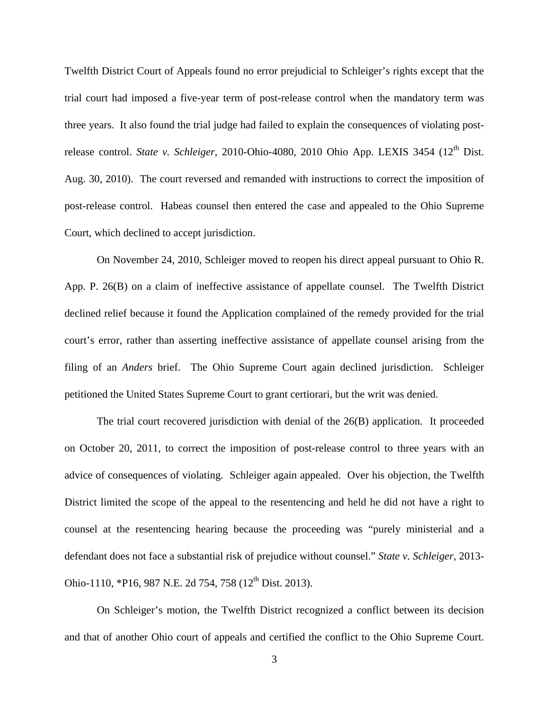Twelfth District Court of Appeals found no error prejudicial to Schleiger's rights except that the trial court had imposed a five-year term of post-release control when the mandatory term was three years. It also found the trial judge had failed to explain the consequences of violating postrelease control. *State v. Schleiger*, 2010-Ohio-4080, 2010 Ohio App. LEXIS 3454 (12<sup>th</sup> Dist. Aug. 30, 2010). The court reversed and remanded with instructions to correct the imposition of post-release control. Habeas counsel then entered the case and appealed to the Ohio Supreme Court, which declined to accept jurisdiction.

 On November 24, 2010, Schleiger moved to reopen his direct appeal pursuant to Ohio R. App. P. 26(B) on a claim of ineffective assistance of appellate counsel. The Twelfth District declined relief because it found the Application complained of the remedy provided for the trial court's error, rather than asserting ineffective assistance of appellate counsel arising from the filing of an *Anders* brief. The Ohio Supreme Court again declined jurisdiction. Schleiger petitioned the United States Supreme Court to grant certiorari, but the writ was denied.

 The trial court recovered jurisdiction with denial of the 26(B) application. It proceeded on October 20, 2011, to correct the imposition of post-release control to three years with an advice of consequences of violating. Schleiger again appealed. Over his objection, the Twelfth District limited the scope of the appeal to the resentencing and held he did not have a right to counsel at the resentencing hearing because the proceeding was "purely ministerial and a defendant does not face a substantial risk of prejudice without counsel." *State v. Schleiger*, 2013- Ohio-1110, \*P16, 987 N.E. 2d 754, 758 (12<sup>th</sup> Dist. 2013).

 On Schleiger's motion, the Twelfth District recognized a conflict between its decision and that of another Ohio court of appeals and certified the conflict to the Ohio Supreme Court.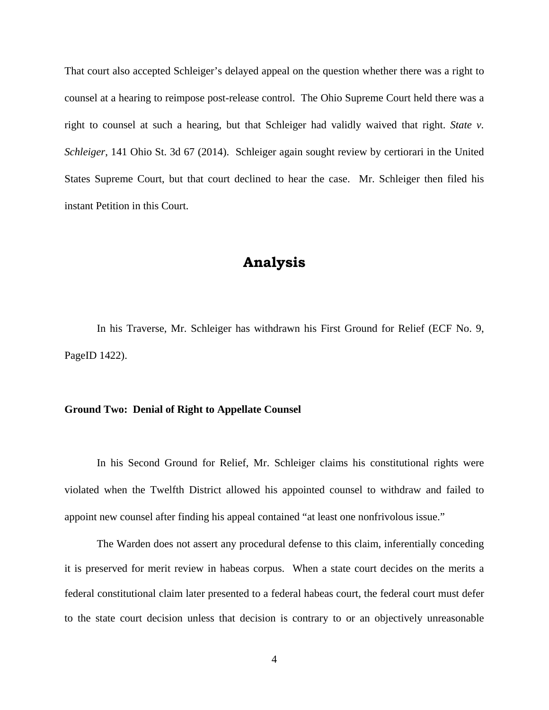That court also accepted Schleiger's delayed appeal on the question whether there was a right to counsel at a hearing to reimpose post-release control. The Ohio Supreme Court held there was a right to counsel at such a hearing, but that Schleiger had validly waived that right. *State v. Schleiger*, 141 Ohio St. 3d 67 (2014). Schleiger again sought review by certiorari in the United States Supreme Court, but that court declined to hear the case. Mr. Schleiger then filed his instant Petition in this Court.

# **Analysis**

 In his Traverse, Mr. Schleiger has withdrawn his First Ground for Relief (ECF No. 9, PageID 1422).

### **Ground Two: Denial of Right to Appellate Counsel**

 In his Second Ground for Relief, Mr. Schleiger claims his constitutional rights were violated when the Twelfth District allowed his appointed counsel to withdraw and failed to appoint new counsel after finding his appeal contained "at least one nonfrivolous issue."

 The Warden does not assert any procedural defense to this claim, inferentially conceding it is preserved for merit review in habeas corpus. When a state court decides on the merits a federal constitutional claim later presented to a federal habeas court, the federal court must defer to the state court decision unless that decision is contrary to or an objectively unreasonable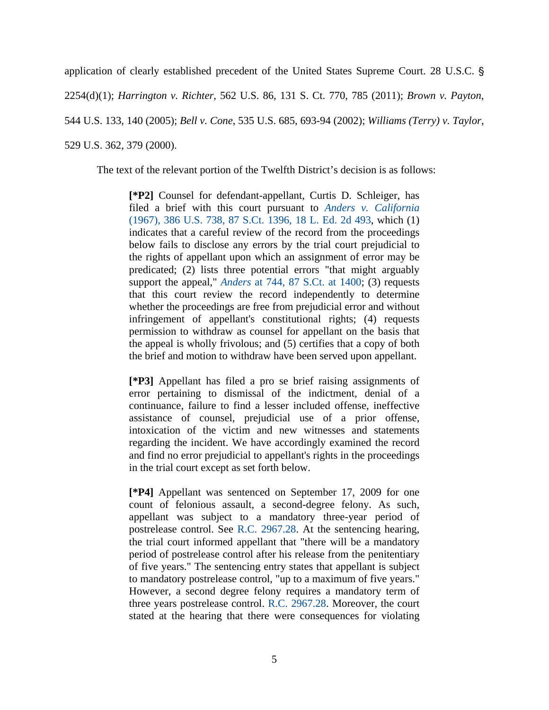application of clearly established precedent of the United States Supreme Court. 28 U.S.C. '

2254(d)(1); *Harrington v. Richter*, 562 U.S. 86, 131 S. Ct. 770, 785 (2011); *Brown v. Payton*,

544 U.S. 133, 140 (2005); *Bell v. Cone*, 535 U.S. 685, 693-94 (2002); *Williams (Terry) v. Taylor*,

529 U.S. 362, 379 (2000).

The text of the relevant portion of the Twelfth District's decision is as follows:

**[\*P2]** Counsel for defendant-appellant, Curtis D. Schleiger, has filed a brief with this court pursuant to *Anders v. California* (1967), 386 U.S. 738, 87 S.Ct. 1396, 18 L. Ed. 2d 493, which (1) indicates that a careful review of the record from the proceedings below fails to disclose any errors by the trial court prejudicial to the rights of appellant upon which an assignment of error may be predicated; (2) lists three potential errors "that might arguably support the appeal," *Anders* at 744, 87 S.Ct. at 1400; (3) requests that this court review the record independently to determine whether the proceedings are free from prejudicial error and without infringement of appellant's constitutional rights; (4) requests permission to withdraw as counsel for appellant on the basis that the appeal is wholly frivolous; and (5) certifies that a copy of both the brief and motion to withdraw have been served upon appellant.

**[\*P3]** Appellant has filed a pro se brief raising assignments of error pertaining to dismissal of the indictment, denial of a continuance, failure to find a lesser included offense, ineffective assistance of counsel, prejudicial use of a prior offense, intoxication of the victim and new witnesses and statements regarding the incident. We have accordingly examined the record and find no error prejudicial to appellant's rights in the proceedings in the trial court except as set forth below.

**[\*P4]** Appellant was sentenced on September 17, 2009 for one count of felonious assault, a second-degree felony. As such, appellant was subject to a mandatory three-year period of postrelease control. See R.C. 2967.28. At the sentencing hearing, the trial court informed appellant that "there will be a mandatory period of postrelease control after his release from the penitentiary of five years." The sentencing entry states that appellant is subject to mandatory postrelease control, "up to a maximum of five years." However, a second degree felony requires a mandatory term of three years postrelease control. R.C. 2967.28. Moreover, the court stated at the hearing that there were consequences for violating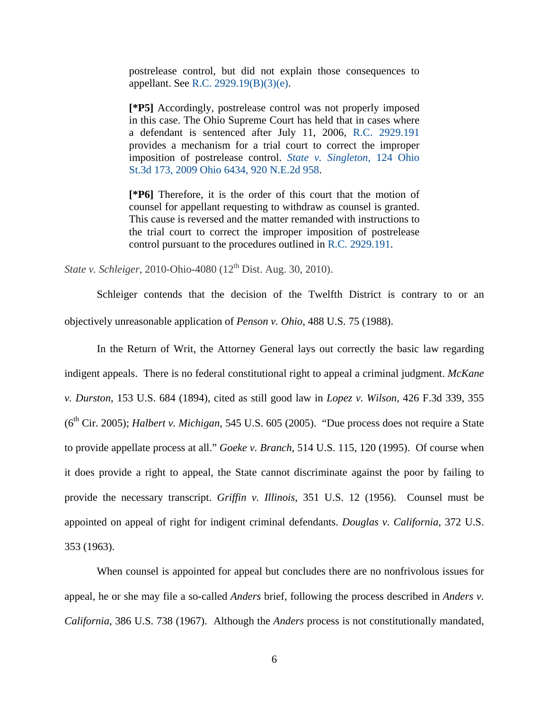postrelease control, but did not explain those consequences to appellant. See R.C. 2929.19(B)(3)(e).

**[\*P5]** Accordingly, postrelease control was not properly imposed in this case. The Ohio Supreme Court has held that in cases where a defendant is sentenced after July 11, 2006, R.C. 2929.191 provides a mechanism for a trial court to correct the improper imposition of postrelease control. *State v. Singleton*, 124 Ohio St.3d 173, 2009 Ohio 6434, 920 N.E.2d 958.

**[\*P6]** Therefore, it is the order of this court that the motion of counsel for appellant requesting to withdraw as counsel is granted. This cause is reversed and the matter remanded with instructions to the trial court to correct the improper imposition of postrelease control pursuant to the procedures outlined in R.C. 2929.191.

*State v. Schleiger*, 2010-Ohio-4080 (12<sup>th</sup> Dist. Aug. 30, 2010).

Schleiger contends that the decision of the Twelfth District is contrary to or an objectively unreasonable application of *Penson v. Ohio*, 488 U.S. 75 (1988).

 In the Return of Writ, the Attorney General lays out correctly the basic law regarding indigent appeals. There is no federal constitutional right to appeal a criminal judgment. *McKane v. Durston*, 153 U.S. 684 (1894), cited as still good law in *Lopez v. Wilson*, 426 F.3d 339, 355  $(6<sup>th</sup> Cir. 2005)$ ; *Halbert v. Michigan*, 545 U.S. 605 (2005). "Due process does not require a State to provide appellate process at all." *Goeke v. Branch*, 514 U.S. 115, 120 (1995). Of course when it does provide a right to appeal, the State cannot discriminate against the poor by failing to provide the necessary transcript. *Griffin v. Illinois*, 351 U.S. 12 (1956). Counsel must be appointed on appeal of right for indigent criminal defendants. *Douglas v. California*, 372 U.S. 353 (1963).

 When counsel is appointed for appeal but concludes there are no nonfrivolous issues for appeal, he or she may file a so-called *Anders* brief, following the process described in *Anders v. California*, 386 U.S. 738 (1967). Although the *Anders* process is not constitutionally mandated,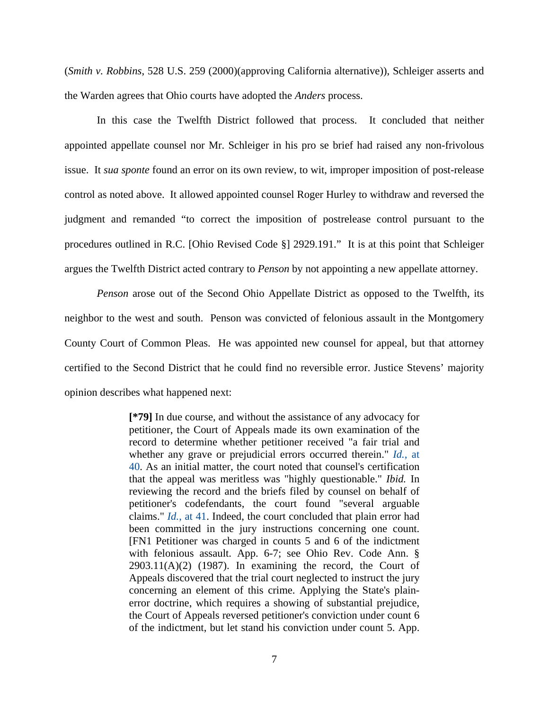(*Smith v. Robbins*, 528 U.S. 259 (2000)(approving California alternative)), Schleiger asserts and the Warden agrees that Ohio courts have adopted the *Anders* process.

 In this case the Twelfth District followed that process. It concluded that neither appointed appellate counsel nor Mr. Schleiger in his pro se brief had raised any non-frivolous issue. It *sua sponte* found an error on its own review, to wit, improper imposition of post-release control as noted above. It allowed appointed counsel Roger Hurley to withdraw and reversed the judgment and remanded "to correct the imposition of postrelease control pursuant to the procedures outlined in R.C. [Ohio Revised Code §] 2929.191." It is at this point that Schleiger argues the Twelfth District acted contrary to *Penson* by not appointing a new appellate attorney.

*Penson* arose out of the Second Ohio Appellate District as opposed to the Twelfth, its neighbor to the west and south. Penson was convicted of felonious assault in the Montgomery County Court of Common Pleas. He was appointed new counsel for appeal, but that attorney certified to the Second District that he could find no reversible error. Justice Stevens' majority opinion describes what happened next:

> **[\*79]** In due course, and without the assistance of any advocacy for petitioner, the Court of Appeals made its own examination of the record to determine whether petitioner received "a fair trial and whether any grave or prejudicial errors occurred therein." *Id.*, at 40. As an initial matter, the court noted that counsel's certification that the appeal was meritless was "highly questionable." *Ibid.* In reviewing the record and the briefs filed by counsel on behalf of petitioner's codefendants, the court found "several arguable claims." *Id.*, at 41. Indeed, the court concluded that plain error had been committed in the jury instructions concerning one count. [FN1 Petitioner was charged in counts 5 and 6 of the indictment with felonious assault. App. 6-7; see Ohio Rev. Code Ann. §  $2903.11(A)(2)$  (1987). In examining the record, the Court of Appeals discovered that the trial court neglected to instruct the jury concerning an element of this crime. Applying the State's plainerror doctrine, which requires a showing of substantial prejudice, the Court of Appeals reversed petitioner's conviction under count 6 of the indictment, but let stand his conviction under count 5. App.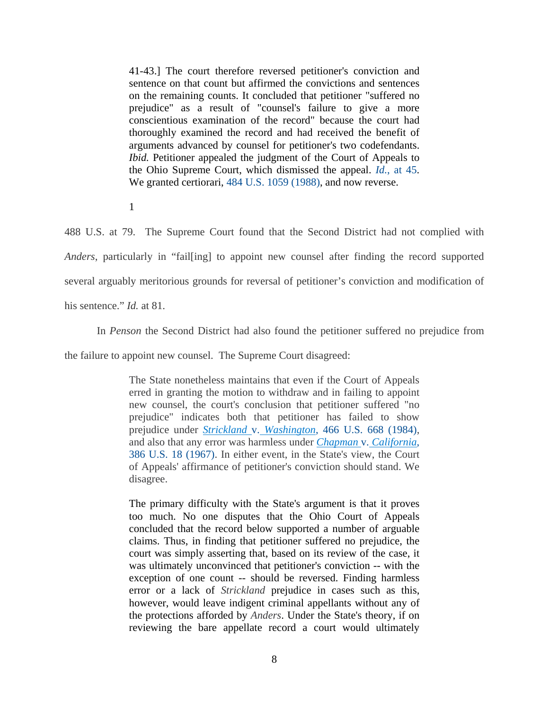41-43.] The court therefore reversed petitioner's conviction and sentence on that count but affirmed the convictions and sentences on the remaining counts. It concluded that petitioner "suffered no prejudice" as a result of "counsel's failure to give a more conscientious examination of the record" because the court had thoroughly examined the record and had received the benefit of arguments advanced by counsel for petitioner's two codefendants. *Ibid.* Petitioner appealed the judgment of the Court of Appeals to the Ohio Supreme Court, which dismissed the appeal. *Id.*, at 45. We granted certiorari, 484 U.S. 1059 (1988), and now reverse.

1

488 U.S. at 79. The Supreme Court found that the Second District had not complied with *Anders*, particularly in "fail[ing] to appoint new counsel after finding the record supported several arguably meritorious grounds for reversal of petitioner's conviction and modification of his sentence." *Id.* at 81.

In *Penson* the Second District had also found the petitioner suffered no prejudice from

the failure to appoint new counsel. The Supreme Court disagreed:

The State nonetheless maintains that even if the Court of Appeals erred in granting the motion to withdraw and in failing to appoint new counsel, the court's conclusion that petitioner suffered "no prejudice" indicates both that petitioner has failed to show prejudice under *Strickland* v. *Washington*, 466 U.S. 668 (1984), and also that any error was harmless under *Chapman* v. *California*, 386 U.S. 18 (1967). In either event, in the State's view, the Court of Appeals' affirmance of petitioner's conviction should stand. We disagree.

The primary difficulty with the State's argument is that it proves too much. No one disputes that the Ohio Court of Appeals concluded that the record below supported a number of arguable claims. Thus, in finding that petitioner suffered no prejudice, the court was simply asserting that, based on its review of the case, it was ultimately unconvinced that petitioner's conviction -- with the exception of one count -- should be reversed. Finding harmless error or a lack of *Strickland* prejudice in cases such as this, however, would leave indigent criminal appellants without any of the protections afforded by *Anders*. Under the State's theory, if on reviewing the bare appellate record a court would ultimately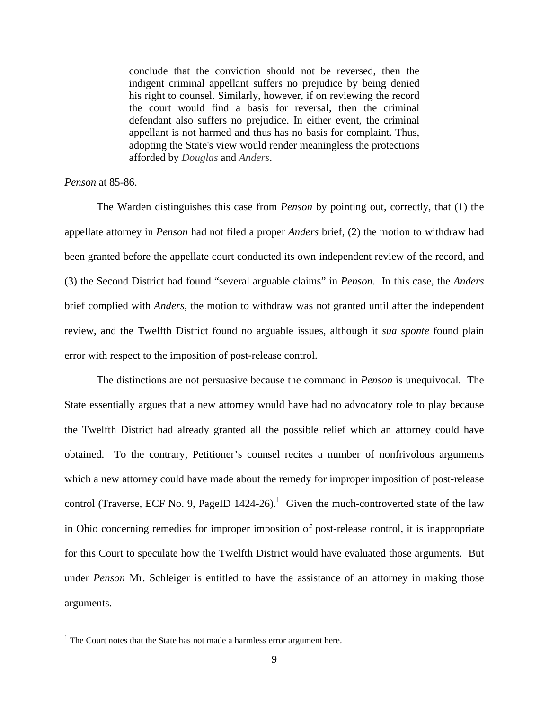conclude that the conviction should not be reversed, then the indigent criminal appellant suffers no prejudice by being denied his right to counsel. Similarly, however, if on reviewing the record the court would find a basis for reversal, then the criminal defendant also suffers no prejudice. In either event, the criminal appellant is not harmed and thus has no basis for complaint. Thus, adopting the State's view would render meaningless the protections afforded by *Douglas* and *Anders*.

### *Penson* at 85-86.

<u>.</u>

 The Warden distinguishes this case from *Penson* by pointing out, correctly, that (1) the appellate attorney in *Penson* had not filed a proper *Anders* brief, (2) the motion to withdraw had been granted before the appellate court conducted its own independent review of the record, and (3) the Second District had found "several arguable claims" in *Penson*. In this case, the *Anders* brief complied with *Anders*, the motion to withdraw was not granted until after the independent review, and the Twelfth District found no arguable issues, although it *sua sponte* found plain error with respect to the imposition of post-release control.

 The distinctions are not persuasive because the command in *Penson* is unequivocal. The State essentially argues that a new attorney would have had no advocatory role to play because the Twelfth District had already granted all the possible relief which an attorney could have obtained. To the contrary, Petitioner's counsel recites a number of nonfrivolous arguments which a new attorney could have made about the remedy for improper imposition of post-release control (Traverse, ECF No. 9, PageID  $1424-26$ ).<sup>1</sup> Given the much-controverted state of the law in Ohio concerning remedies for improper imposition of post-release control, it is inappropriate for this Court to speculate how the Twelfth District would have evaluated those arguments. But under *Penson* Mr. Schleiger is entitled to have the assistance of an attorney in making those arguments.

 $1$ <sup>1</sup> The Court notes that the State has not made a harmless error argument here.